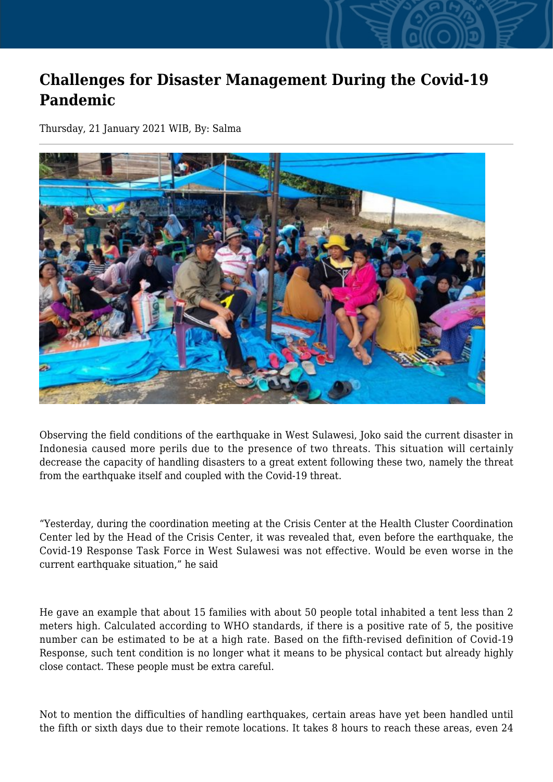## **Challenges for Disaster Management During the Covid-19 Pandemic**

Thursday, 21 January 2021 WIB, By: Salma



Observing the field conditions of the earthquake in West Sulawesi, Joko said the current disaster in Indonesia caused more perils due to the presence of two threats. This situation will certainly decrease the capacity of handling disasters to a great extent following these two, namely the threat from the earthquake itself and coupled with the Covid-19 threat.

"Yesterday, during the coordination meeting at the Crisis Center at the Health Cluster Coordination Center led by the Head of the Crisis Center, it was revealed that, even before the earthquake, the Covid-19 Response Task Force in West Sulawesi was not effective. Would be even worse in the current earthquake situation," he said

He gave an example that about 15 families with about 50 people total inhabited a tent less than 2 meters high. Calculated according to WHO standards, if there is a positive rate of 5, the positive number can be estimated to be at a high rate. Based on the fifth-revised definition of Covid-19 Response, such tent condition is no longer what it means to be physical contact but already highly close contact. These people must be extra careful.

Not to mention the difficulties of handling earthquakes, certain areas have yet been handled until the fifth or sixth days due to their remote locations. It takes 8 hours to reach these areas, even 24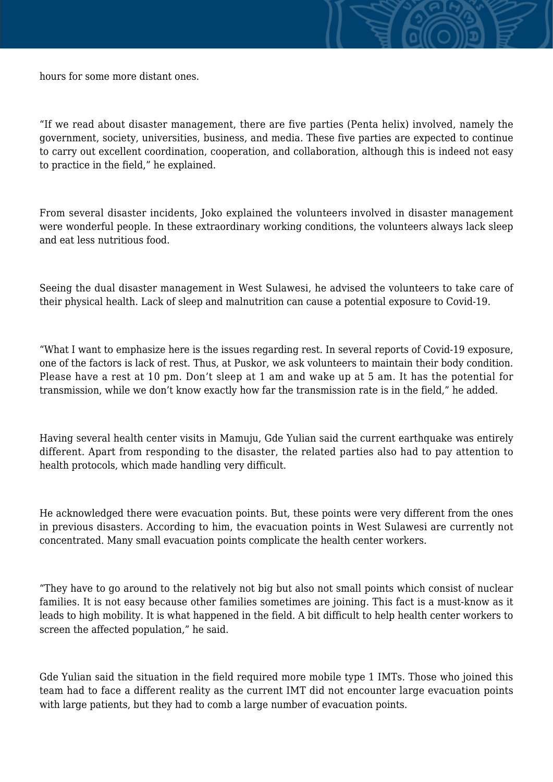

"If we read about disaster management, there are five parties (Penta helix) involved, namely the government, society, universities, business, and media. These five parties are expected to continue to carry out excellent coordination, cooperation, and collaboration, although this is indeed not easy to practice in the field," he explained.

From several disaster incidents, Joko explained the volunteers involved in disaster management were wonderful people. In these extraordinary working conditions, the volunteers always lack sleep and eat less nutritious food.

Seeing the dual disaster management in West Sulawesi, he advised the volunteers to take care of their physical health. Lack of sleep and malnutrition can cause a potential exposure to Covid-19.

"What I want to emphasize here is the issues regarding rest. In several reports of Covid-19 exposure, one of the factors is lack of rest. Thus, at Puskor, we ask volunteers to maintain their body condition. Please have a rest at 10 pm. Don't sleep at 1 am and wake up at 5 am. It has the potential for transmission, while we don't know exactly how far the transmission rate is in the field," he added.

Having several health center visits in Mamuju, Gde Yulian said the current earthquake was entirely different. Apart from responding to the disaster, the related parties also had to pay attention to health protocols, which made handling very difficult.

He acknowledged there were evacuation points. But, these points were very different from the ones in previous disasters. According to him, the evacuation points in West Sulawesi are currently not concentrated. Many small evacuation points complicate the health center workers.

"They have to go around to the relatively not big but also not small points which consist of nuclear families. It is not easy because other families sometimes are joining. This fact is a must-know as it leads to high mobility. It is what happened in the field. A bit difficult to help health center workers to screen the affected population," he said.

Gde Yulian said the situation in the field required more mobile type 1 IMTs. Those who joined this team had to face a different reality as the current IMT did not encounter large evacuation points with large patients, but they had to comb a large number of evacuation points.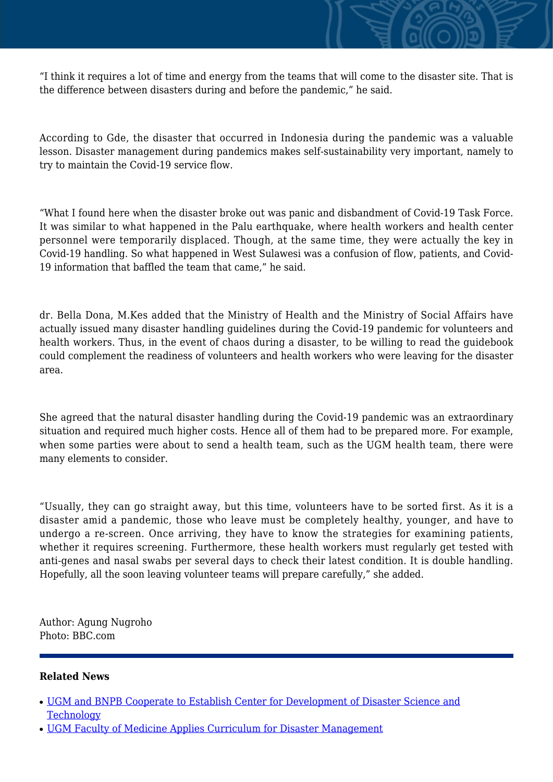

According to Gde, the disaster that occurred in Indonesia during the pandemic was a valuable lesson. Disaster management during pandemics makes self-sustainability very important, namely to try to maintain the Covid-19 service flow.

"What I found here when the disaster broke out was panic and disbandment of Covid-19 Task Force. It was similar to what happened in the Palu earthquake, where health workers and health center personnel were temporarily displaced. Though, at the same time, they were actually the key in Covid-19 handling. So what happened in West Sulawesi was a confusion of flow, patients, and Covid-19 information that baffled the team that came," he said.

dr. Bella Dona, M.Kes added that the Ministry of Health and the Ministry of Social Affairs have actually issued many disaster handling guidelines during the Covid-19 pandemic for volunteers and health workers. Thus, in the event of chaos during a disaster, to be willing to read the guidebook could complement the readiness of volunteers and health workers who were leaving for the disaster area.

She agreed that the natural disaster handling during the Covid-19 pandemic was an extraordinary situation and required much higher costs. Hence all of them had to be prepared more. For example, when some parties were about to send a health team, such as the UGM health team, there were many elements to consider.

"Usually, they can go straight away, but this time, volunteers have to be sorted first. As it is a disaster amid a pandemic, those who leave must be completely healthy, younger, and have to undergo a re-screen. Once arriving, they have to know the strategies for examining patients, whether it requires screening. Furthermore, these health workers must regularly get tested with anti-genes and nasal swabs per several days to check their latest condition. It is double handling. Hopefully, all the soon leaving volunteer teams will prepare carefully," she added.

Author: Agung Nugroho Photo: BBC.com

## **Related News**

- [UGM and BNPB Cooperate to Establish Center for Development of Disaster Science and](http://ugm.ac.id/www.ugm.ac.id//en/news/21061-ugm-participation-in-tfi-nus-plum-asean-leaders-summit-2021) **[Technology](http://ugm.ac.id/www.ugm.ac.id//en/news/21061-ugm-participation-in-tfi-nus-plum-asean-leaders-summit-2021)**
- [UGM Faculty of Medicine Applies Curriculum for Disaster Management](http://ugm.ac.id/www.ugm.ac.id//en/news/19554-revealing-the-challenges-of-online-learning-during-covid-19-pandemic)